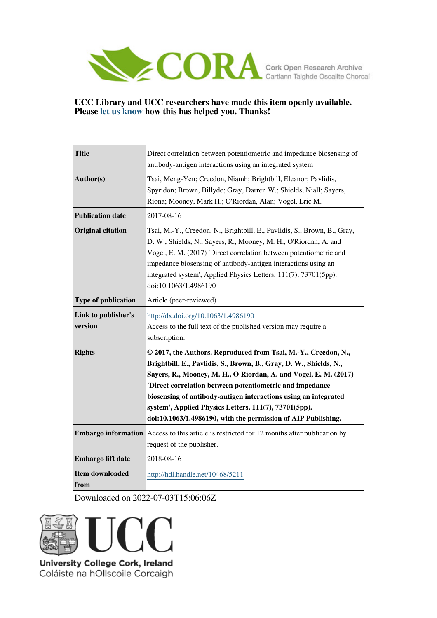

# **UCC Library and UCC researchers have made this item openly available. Please [let us know h](https://libguides.ucc.ie/openaccess/impact?suffix=5211&title=Direct correlation between potentiometric and impedance biosensing of antibody-antigen interactions using an integrated system)ow this has helped you. Thanks!**

| <b>Title</b>                   | Direct correlation between potentiometric and impedance biosensing of<br>antibody-antigen interactions using an integrated system                                                                                                                                                                                                                                                                                                                                 |
|--------------------------------|-------------------------------------------------------------------------------------------------------------------------------------------------------------------------------------------------------------------------------------------------------------------------------------------------------------------------------------------------------------------------------------------------------------------------------------------------------------------|
| Author(s)                      | Tsai, Meng-Yen; Creedon, Niamh; Brightbill, Eleanor; Pavlidis,<br>Spyridon; Brown, Billyde; Gray, Darren W.; Shields, Niall; Sayers,<br>Ríona; Mooney, Mark H.; O'Riordan, Alan; Vogel, Eric M.                                                                                                                                                                                                                                                                   |
| <b>Publication date</b>        | 2017-08-16                                                                                                                                                                                                                                                                                                                                                                                                                                                        |
| <b>Original citation</b>       | Tsai, M.-Y., Creedon, N., Brightbill, E., Pavlidis, S., Brown, B., Gray,<br>D. W., Shields, N., Sayers, R., Mooney, M. H., O'Riordan, A. and<br>Vogel, E. M. (2017) 'Direct correlation between potentiometric and<br>impedance biosensing of antibody-antigen interactions using an<br>integrated system', Applied Physics Letters, 111(7), 73701(5pp).<br>doi:10.1063/1.4986190                                                                                 |
| <b>Type of publication</b>     | Article (peer-reviewed)                                                                                                                                                                                                                                                                                                                                                                                                                                           |
| Link to publisher's<br>version | http://dx.doi.org/10.1063/1.4986190<br>Access to the full text of the published version may require a<br>subscription.                                                                                                                                                                                                                                                                                                                                            |
| <b>Rights</b>                  | © 2017, the Authors. Reproduced from Tsai, M.-Y., Creedon, N.,<br>Brightbill, E., Pavlidis, S., Brown, B., Gray, D. W., Shields, N.,<br>Sayers, R., Mooney, M. H., O'Riordan, A. and Vogel, E. M. (2017)<br>'Direct correlation between potentiometric and impedance<br>biosensing of antibody-antigen interactions using an integrated<br>system', Applied Physics Letters, 111(7), 73701(5pp).<br>doi:10.1063/1.4986190, with the permission of AIP Publishing. |
|                                | <b>Embargo information</b> Access to this article is restricted for 12 months after publication by<br>request of the publisher.                                                                                                                                                                                                                                                                                                                                   |
| Embargo lift date              | 2018-08-16                                                                                                                                                                                                                                                                                                                                                                                                                                                        |
| <b>Item downloaded</b><br>from | http://hdl.handle.net/10468/5211                                                                                                                                                                                                                                                                                                                                                                                                                                  |

Downloaded on 2022-07-03T15:06:06Z



University College Cork, Ireland Coláiste na hOllscoile Corcaigh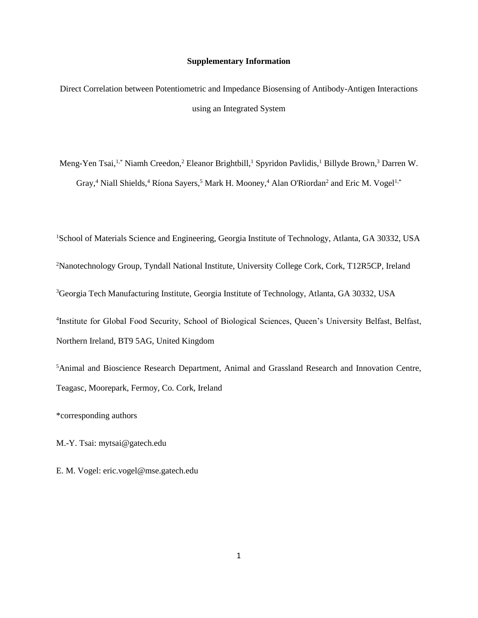### **Supplementary Information**

Direct Correlation between Potentiometric and Impedance Biosensing of Antibody-Antigen Interactions using an Integrated System

Meng-Yen Tsai,<sup>1,\*</sup> Niamh Creedon,<sup>2</sup> Eleanor Brightbill,<sup>1</sup> Spyridon Pavlidis,<sup>1</sup> Billyde Brown,<sup>3</sup> Darren W. Gray,<sup>4</sup> Niall Shields,<sup>4</sup> Ríona Sayers,<sup>5</sup> Mark H. Mooney,<sup>4</sup> Alan O'Riordan<sup>2</sup> and Eric M. Vogel<sup>1,\*</sup>

<sup>1</sup>School of Materials Science and Engineering, Georgia Institute of Technology, Atlanta, GA 30332, USA <sup>2</sup>Nanotechnology Group, Tyndall National Institute, University College Cork, Cork, T12R5CP, Ireland <sup>3</sup>Georgia Tech Manufacturing Institute, Georgia Institute of Technology, Atlanta, GA 30332, USA 4 Institute for Global Food Security, School of Biological Sciences, Queen's University Belfast, Belfast, Northern Ireland, BT9 5AG, United Kingdom

<sup>5</sup>Animal and Bioscience Research Department, Animal and Grassland Research and Innovation Centre, Teagasc, Moorepark, Fermoy, Co. Cork, Ireland

\*corresponding authors

M.-Y. Tsai: mytsai@gatech.edu

E. M. Vogel: eric.vogel@mse.gatech.edu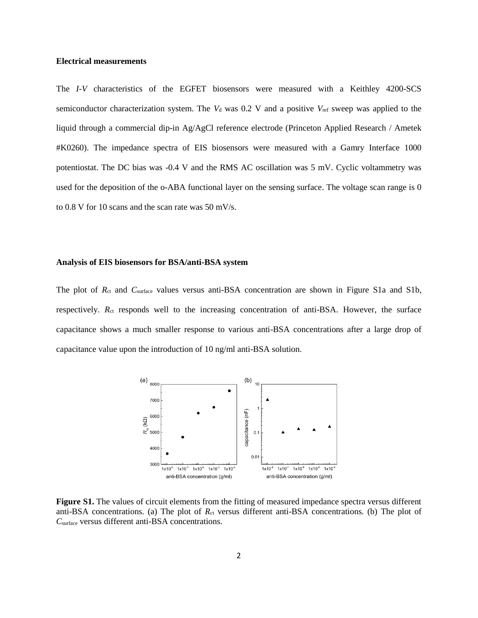#### **Electrical measurements**

The *I-V* characteristics of the EGFET biosensors were measured with a Keithley 4200-SCS semiconductor characterization system. The  $V<sub>d</sub>$  was 0.2 V and a positive  $V<sub>ref</sub>$  sweep was applied to the liquid through a commercial dip-in Ag/AgCl reference electrode (Princeton Applied Research / Ametek #K0260). The impedance spectra of EIS biosensors were measured with a Gamry Interface 1000 potentiostat. The DC bias was -0.4 V and the RMS AC oscillation was 5 mV. Cyclic voltammetry was used for the deposition of the o-ABA functional layer on the sensing surface. The voltage scan range is 0 to 0.8 V for 10 scans and the scan rate was 50 mV/s.

#### **Analysis of EIS biosensors for BSA/anti-BSA system**

The plot of  $R_{ct}$  and  $C_{surface}$  values versus anti-BSA concentration are shown in Figure S1a and S1b, respectively. R<sub>ct</sub> responds well to the increasing concentration of anti-BSA. However, the surface capacitance shows a much smaller response to various anti-BSA concentrations after a large drop of capacitance value upon the introduction of 10 ng/ml anti-BSA solution.



Figure S1. The values of circuit elements from the fitting of measured impedance spectra versus different anti-BSA concentrations. (a) The plot of  $R<sub>ct</sub>$  versus different anti-BSA concentrations. (b) The plot of *C*surface versus different anti-BSA concentrations.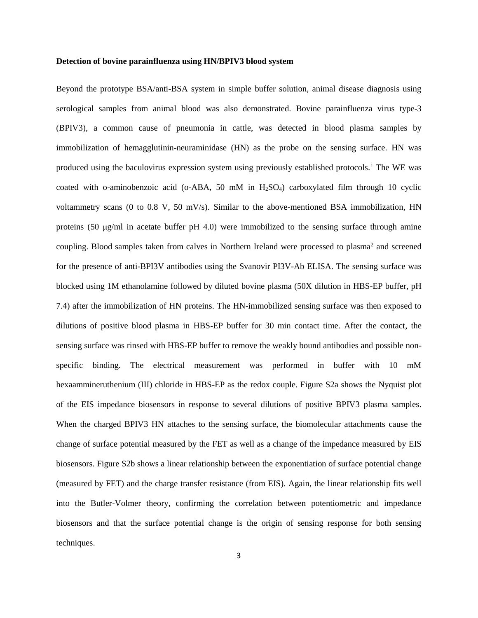#### **Detection of bovine parainfluenza using HN/BPIV3 blood system**

Beyond the prototype BSA/anti-BSA system in simple buffer solution, animal disease diagnosis using serological samples from animal blood was also demonstrated. Bovine parainfluenza virus type-3 (BPIV3), a common cause of pneumonia in cattle, was detected in blood plasma samples by immobilization of hemagglutinin-neuraminidase (HN) as the probe on the sensing surface. HN was produced using the baculovirus expression system using previously established protocols.<sup>1</sup> The WE was coated with o-aminobenzoic acid (o-ABA, 50 mM in  $H_2SO_4$ ) carboxylated film through 10 cyclic voltammetry scans (0 to 0.8 V, 50 mV/s). Similar to the above-mentioned BSA immobilization, HN proteins (50 μg/ml in acetate buffer pH 4.0) were immobilized to the sensing surface through amine coupling. Blood samples taken from calves in Northern Ireland were processed to plasma<sup>2</sup> and screened for the presence of anti-BPI3V antibodies using the Svanovir PI3V-Ab ELISA. The sensing surface was blocked using 1M ethanolamine followed by diluted bovine plasma (50X dilution in HBS-EP buffer, pH 7.4) after the immobilization of HN proteins. The HN-immobilized sensing surface was then exposed to dilutions of positive blood plasma in HBS-EP buffer for 30 min contact time. After the contact, the sensing surface was rinsed with HBS-EP buffer to remove the weakly bound antibodies and possible nonspecific binding. The electrical measurement was performed in buffer with 10 mM hexaammineruthenium (III) chloride in HBS-EP as the redox couple. Figure S2a shows the Nyquist plot of the EIS impedance biosensors in response to several dilutions of positive BPIV3 plasma samples. When the charged BPIV3 HN attaches to the sensing surface, the biomolecular attachments cause the change of surface potential measured by the FET as well as a change of the impedance measured by EIS biosensors. Figure S2b shows a linear relationship between the exponentiation of surface potential change (measured by FET) and the charge transfer resistance (from EIS). Again, the linear relationship fits well into the Butler-Volmer theory, confirming the correlation between potentiometric and impedance biosensors and that the surface potential change is the origin of sensing response for both sensing techniques.